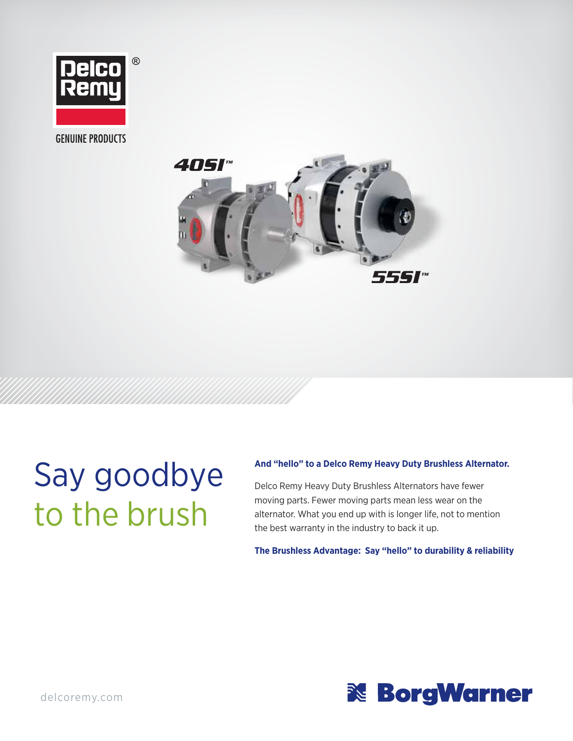

**GENUINE PRODUCTS** 



# Say goodbye to the brush

#### **And "hello" to a Delco Remy Heavy Duty Brushless Alternator.**

Delco Remy Heavy Duty Brushless Alternators have fewer moving parts. Fewer moving parts mean less wear on the alternator. What you end up with is longer life, not to mention the best warranty in the industry to back it up.

**The Brushless Advantage: Say "hello" to durability & reliability**